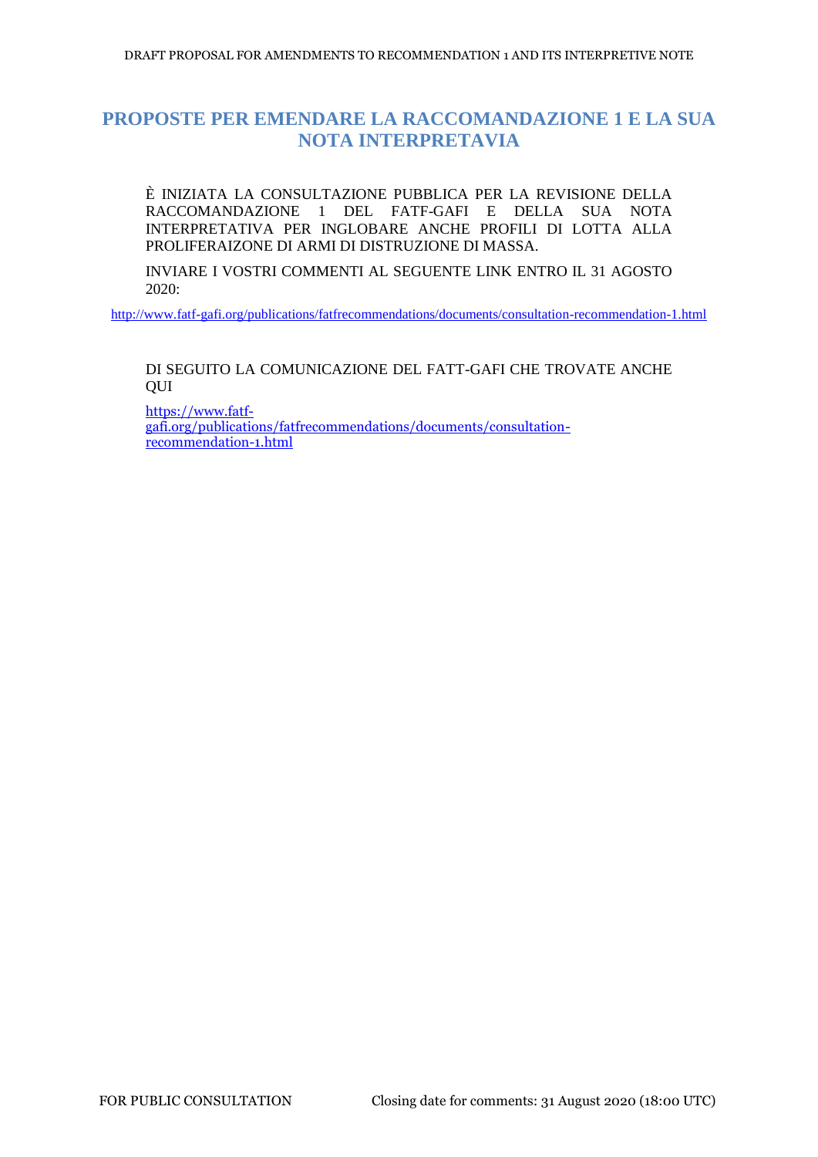# **PROPOSTE PER EMENDARE LA RACCOMANDAZIONE 1 E LA SUA NOTA INTERPRETAVIA**

È INIZIATA LA CONSULTAZIONE PUBBLICA PER LA REVISIONE DELLA RACCOMANDAZIONE 1 DEL FATF-GAFI E DELLA SUA NOTA INTERPRETATIVA PER INGLOBARE ANCHE PROFILI DI LOTTA ALLA PROLIFERAIZONE DI ARMI DI DISTRUZIONE DI MASSA.

INVIARE I VOSTRI COMMENTI AL SEGUENTE LINK ENTRO IL 31 AGOSTO 2020:

<http://www.fatf-gafi.org/publications/fatfrecommendations/documents/consultation-recommendation-1.html>

DI SEGUITO LA COMUNICAZIONE DEL FATT-GAFI CHE TROVATE ANCHE **OUI** 

[https://www.fatf](https://www.fatf-gafi.org/publications/fatfrecommendations/documents/consultation-recommendation-1.html)[gafi.org/publications/fatfrecommendations/documents/consultation](https://www.fatf-gafi.org/publications/fatfrecommendations/documents/consultation-recommendation-1.html)[recommendation-1.html](https://www.fatf-gafi.org/publications/fatfrecommendations/documents/consultation-recommendation-1.html)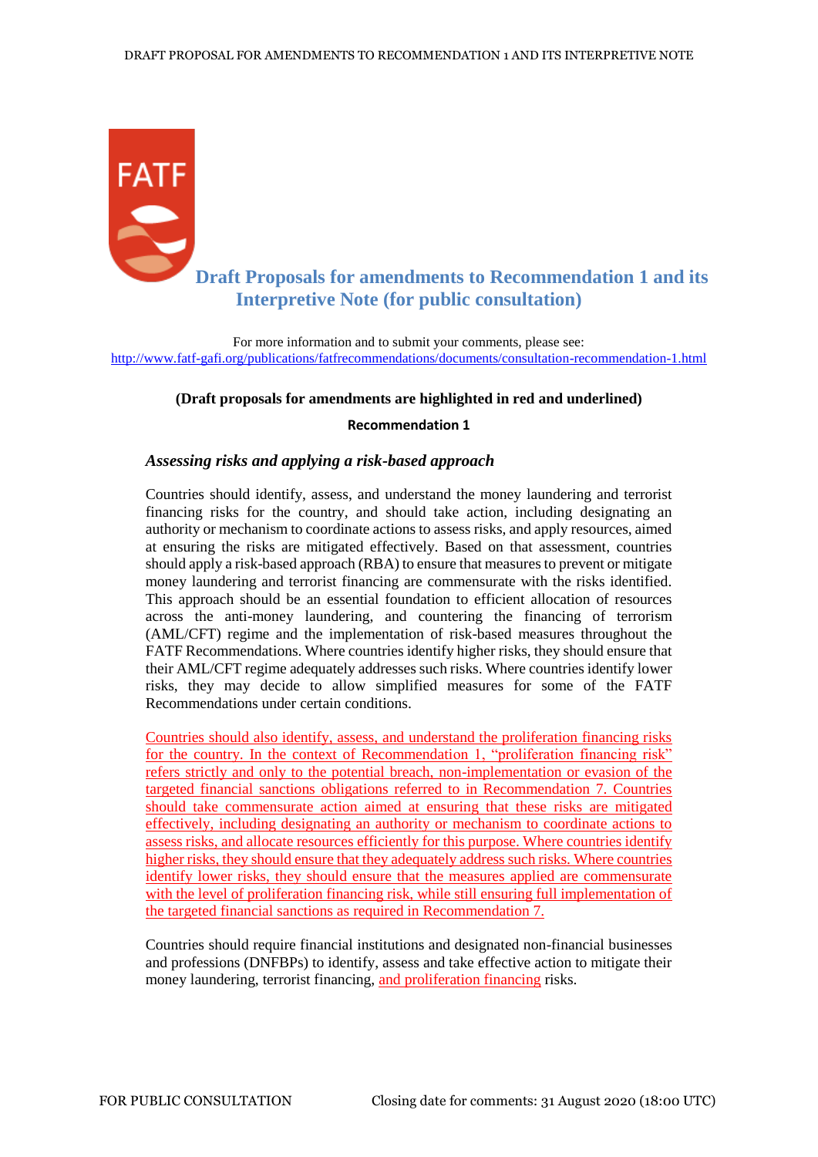

# **Draft Proposals for amendments to Recommendation 1 and its Interpretive Note (for public consultation)**

For more information and to submit your comments, please see: <http://www.fatf-gafi.org/publications/fatfrecommendations/documents/consultation-recommendation-1.html>

#### **(Draft proposals for amendments are highlighted in red and underlined)**

#### **Recommendation 1**

# *Assessing risks and applying a risk-based approach*

Countries should identify, assess, and understand the money laundering and terrorist financing risks for the country, and should take action, including designating an authority or mechanism to coordinate actions to assess risks, and apply resources, aimed at ensuring the risks are mitigated effectively. Based on that assessment, countries should apply a risk-based approach (RBA) to ensure that measures to prevent or mitigate money laundering and terrorist financing are commensurate with the risks identified. This approach should be an essential foundation to efficient allocation of resources across the anti-money laundering, and countering the financing of terrorism (AML/CFT) regime and the implementation of risk-based measures throughout the FATF Recommendations. Where countries identify higher risks, they should ensure that their AML/CFT regime adequately addresses such risks. Where countries identify lower risks, they may decide to allow simplified measures for some of the FATF Recommendations under certain conditions.

Countries should also identify, assess, and understand the proliferation financing risks for the country. In the context of Recommendation 1, "proliferation financing risk" refers strictly and only to the potential breach, non-implementation or evasion of the targeted financial sanctions obligations referred to in Recommendation 7. Countries should take commensurate action aimed at ensuring that these risks are mitigated effectively, including designating an authority or mechanism to coordinate actions to assess risks, and allocate resources efficiently for this purpose. Where countries identify higher risks, they should ensure that they adequately address such risks. Where countries identify lower risks, they should ensure that the measures applied are commensurate with the level of proliferation financing risk, while still ensuring full implementation of the targeted financial sanctions as required in Recommendation 7.

Countries should require financial institutions and designated non-financial businesses and professions (DNFBPs) to identify, assess and take effective action to mitigate their money laundering, terrorist financing, and proliferation financing risks.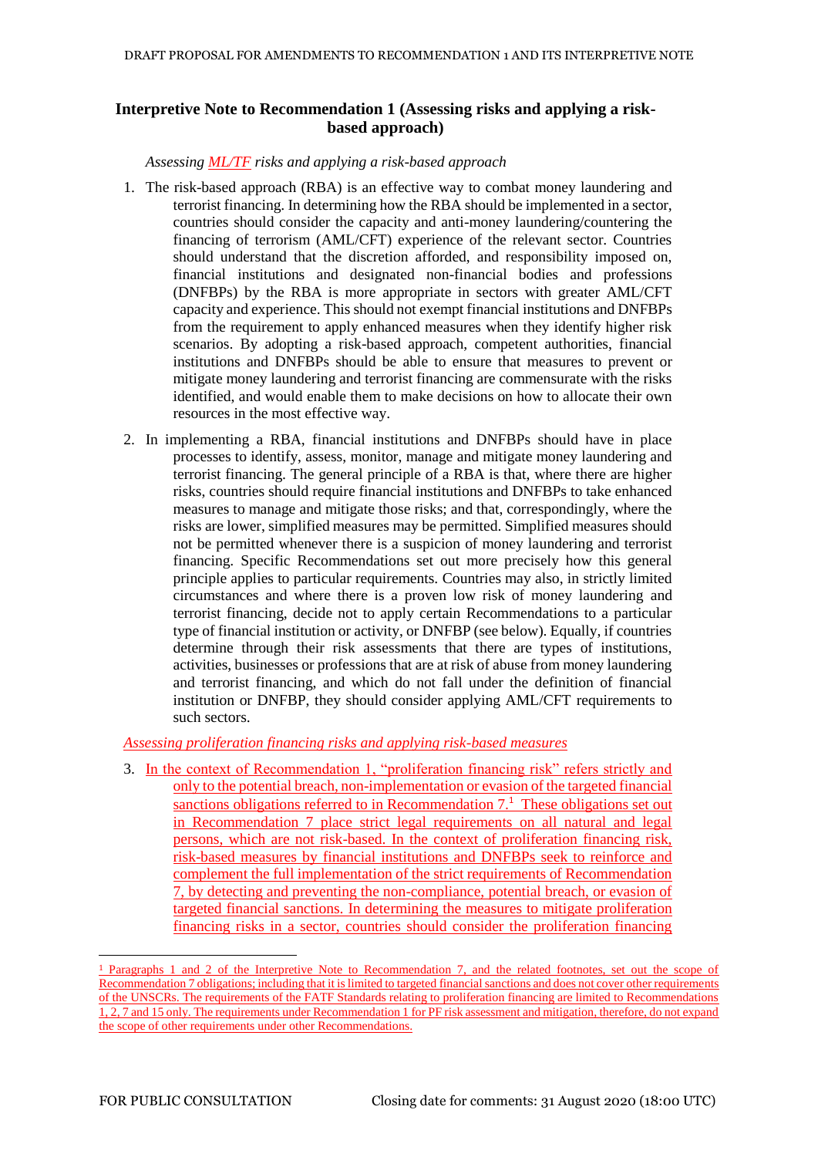# **Interpretive Note to Recommendation 1 (Assessing risks and applying a riskbased approach)**

*Assessing ML/TF risks and applying a risk-based approach*

- 1. The risk-based approach (RBA) is an effective way to combat money laundering and terrorist financing. In determining how the RBA should be implemented in a sector, countries should consider the capacity and anti-money laundering/countering the financing of terrorism (AML/CFT) experience of the relevant sector. Countries should understand that the discretion afforded, and responsibility imposed on, financial institutions and designated non-financial bodies and professions (DNFBPs) by the RBA is more appropriate in sectors with greater AML/CFT capacity and experience. This should not exempt financial institutions and DNFBPs from the requirement to apply enhanced measures when they identify higher risk scenarios. By adopting a risk-based approach, competent authorities, financial institutions and DNFBPs should be able to ensure that measures to prevent or mitigate money laundering and terrorist financing are commensurate with the risks identified, and would enable them to make decisions on how to allocate their own resources in the most effective way.
- 2. In implementing a RBA, financial institutions and DNFBPs should have in place processes to identify, assess, monitor, manage and mitigate money laundering and terrorist financing. The general principle of a RBA is that, where there are higher risks, countries should require financial institutions and DNFBPs to take enhanced measures to manage and mitigate those risks; and that, correspondingly, where the risks are lower, simplified measures may be permitted. Simplified measures should not be permitted whenever there is a suspicion of money laundering and terrorist financing. Specific Recommendations set out more precisely how this general principle applies to particular requirements. Countries may also, in strictly limited circumstances and where there is a proven low risk of money laundering and terrorist financing, decide not to apply certain Recommendations to a particular type of financial institution or activity, or DNFBP (see below). Equally, if countries determine through their risk assessments that there are types of institutions, activities, businesses or professions that are at risk of abuse from money laundering and terrorist financing, and which do not fall under the definition of financial institution or DNFBP, they should consider applying AML/CFT requirements to such sectors.

*Assessing proliferation financing risks and applying risk-based measures*

3. In the context of Recommendation 1, "proliferation financing risk" refers strictly and only to the potential breach, non-implementation or evasion of the targeted financial sanctions obligations referred to in Recommendation 7.<sup>1</sup> These obligations set out in Recommendation 7 place strict legal requirements on all natural and legal persons, which are not risk-based. In the context of proliferation financing risk, risk-based measures by financial institutions and DNFBPs seek to reinforce and complement the full implementation of the strict requirements of Recommendation 7, by detecting and preventing the non-compliance, potential breach, or evasion of targeted financial sanctions. In determining the measures to mitigate proliferation financing risks in a sector, countries should consider the proliferation financing

-

<sup>1</sup> Paragraphs 1 and 2 of the Interpretive Note to Recommendation 7, and the related footnotes, set out the scope of Recommendation 7 obligations; including that it is limited to targeted financial sanctions and does not cover other requirements of the UNSCRs. The requirements of the FATF Standards relating to proliferation financing are limited to Recommendations 1, 2, 7 and 15 only. The requirements under Recommendation 1 for PF risk assessment and mitigation, therefore, do not expand the scope of other requirements under other Recommendations.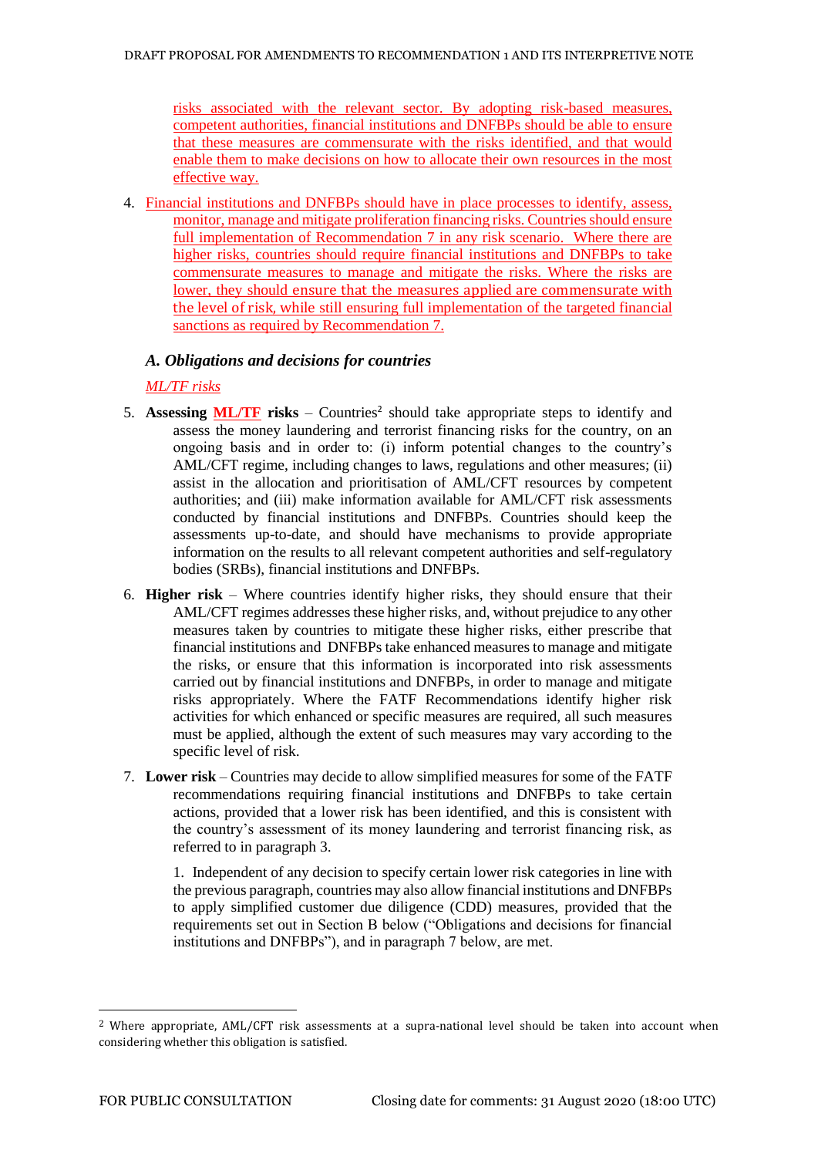risks associated with the relevant sector. By adopting risk-based measures, competent authorities, financial institutions and DNFBPs should be able to ensure that these measures are commensurate with the risks identified, and that would enable them to make decisions on how to allocate their own resources in the most effective way.

4. Financial institutions and DNFBPs should have in place processes to identify, assess, monitor, manage and mitigate proliferation financing risks. Countries should ensure full implementation of Recommendation 7 in any risk scenario. Where there are higher risks, countries should require financial institutions and DNFBPs to take commensurate measures to manage and mitigate the risks. Where the risks are lower, they should ensure that the measures applied are commensurate with the level of risk, while still ensuring full implementation of the targeted financial sanctions as required by Recommendation 7.

# *A. Obligations and decisions for countries*

*ML/TF risks*

- 5. Assessing  $ML/TF$  risks Countries<sup>2</sup> should take appropriate steps to identify and assess the money laundering and terrorist financing risks for the country, on an ongoing basis and in order to: (i) inform potential changes to the country's AML/CFT regime, including changes to laws, regulations and other measures; (ii) assist in the allocation and prioritisation of AML/CFT resources by competent authorities; and (iii) make information available for AML/CFT risk assessments conducted by financial institutions and DNFBPs. Countries should keep the assessments up-to-date, and should have mechanisms to provide appropriate information on the results to all relevant competent authorities and self-regulatory bodies (SRBs), financial institutions and DNFBPs.
- 6. **Higher risk** Where countries identify higher risks, they should ensure that their AML/CFT regimes addresses these higher risks, and, without prejudice to any other measures taken by countries to mitigate these higher risks, either prescribe that financial institutions and DNFBPs take enhanced measures to manage and mitigate the risks, or ensure that this information is incorporated into risk assessments carried out by financial institutions and DNFBPs, in order to manage and mitigate risks appropriately. Where the FATF Recommendations identify higher risk activities for which enhanced or specific measures are required, all such measures must be applied, although the extent of such measures may vary according to the specific level of risk.
- 7. **Lower risk**  Countries may decide to allow simplified measures for some of the FATF recommendations requiring financial institutions and DNFBPs to take certain actions, provided that a lower risk has been identified, and this is consistent with the country's assessment of its money laundering and terrorist financing risk, as referred to in paragraph 3.

1. Independent of any decision to specify certain lower risk categories in line with the previous paragraph, countries may also allow financial institutions and DNFBPs to apply simplified customer due diligence (CDD) measures, provided that the requirements set out in Section B below ("Obligations and decisions for financial institutions and DNFBPs"), and in paragraph 7 below, are met.

-

<sup>2</sup> Where appropriate, AML/CFT risk assessments at a supra-national level should be taken into account when considering whether this obligation is satisfied.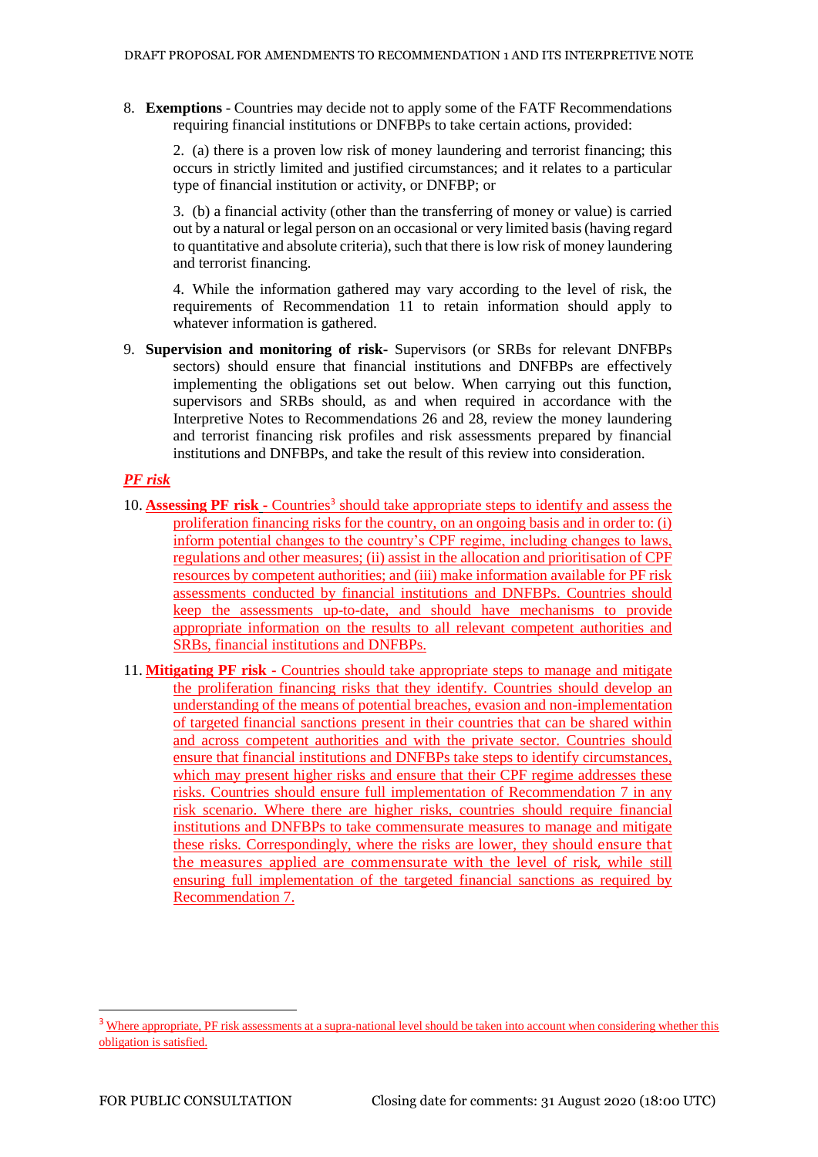8. **Exemptions** - Countries may decide not to apply some of the FATF Recommendations requiring financial institutions or DNFBPs to take certain actions, provided:

2. (a) there is a proven low risk of money laundering and terrorist financing; this occurs in strictly limited and justified circumstances; and it relates to a particular type of financial institution or activity, or DNFBP; or

3. (b) a financial activity (other than the transferring of money or value) is carried out by a natural or legal person on an occasional or very limited basis (having regard to quantitative and absolute criteria), such that there is low risk of money laundering and terrorist financing.

4. While the information gathered may vary according to the level of risk, the requirements of Recommendation 11 to retain information should apply to whatever information is gathered.

9. **Supervision and monitoring of risk-** Supervisors (or SRBs for relevant DNFBPs sectors) should ensure that financial institutions and DNFBPs are effectively implementing the obligations set out below. When carrying out this function, supervisors and SRBs should, as and when required in accordance with the Interpretive Notes to Recommendations 26 and 28, review the money laundering and terrorist financing risk profiles and risk assessments prepared by financial institutions and DNFBPs, and take the result of this review into consideration.

### *PF risk*

- 10. **Assessing PF risk -** Countries<sup>3</sup> should take appropriate steps to identify and assess the proliferation financing risks for the country, on an ongoing basis and in order to: (i) inform potential changes to the country's CPF regime, including changes to laws, regulations and other measures; (ii) assist in the allocation and prioritisation of CPF resources by competent authorities; and (iii) make information available for PF risk assessments conducted by financial institutions and DNFBPs. Countries should keep the assessments up-to-date, and should have mechanisms to provide appropriate information on the results to all relevant competent authorities and SRBs, financial institutions and DNFBPs.
- 11. **Mitigating PF risk -** Countries should take appropriate steps to manage and mitigate the proliferation financing risks that they identify. Countries should develop an understanding of the means of potential breaches, evasion and non-implementation of targeted financial sanctions present in their countries that can be shared within and across competent authorities and with the private sector. Countries should ensure that financial institutions and DNFBPs take steps to identify circumstances, which may present higher risks and ensure that their CPF regime addresses these risks. Countries should ensure full implementation of Recommendation 7 in any risk scenario. Where there are higher risks, countries should require financial institutions and DNFBPs to take commensurate measures to manage and mitigate these risks. Correspondingly, where the risks are lower, they should ensure that the measures applied are commensurate with the level of risk*,* while still ensuring full implementation of the targeted financial sanctions as required by Recommendation 7.

-

<sup>&</sup>lt;sup>3</sup> Where appropriate, PF risk assessments at a supra-national level should be taken into account when considering whether this obligation is satisfied.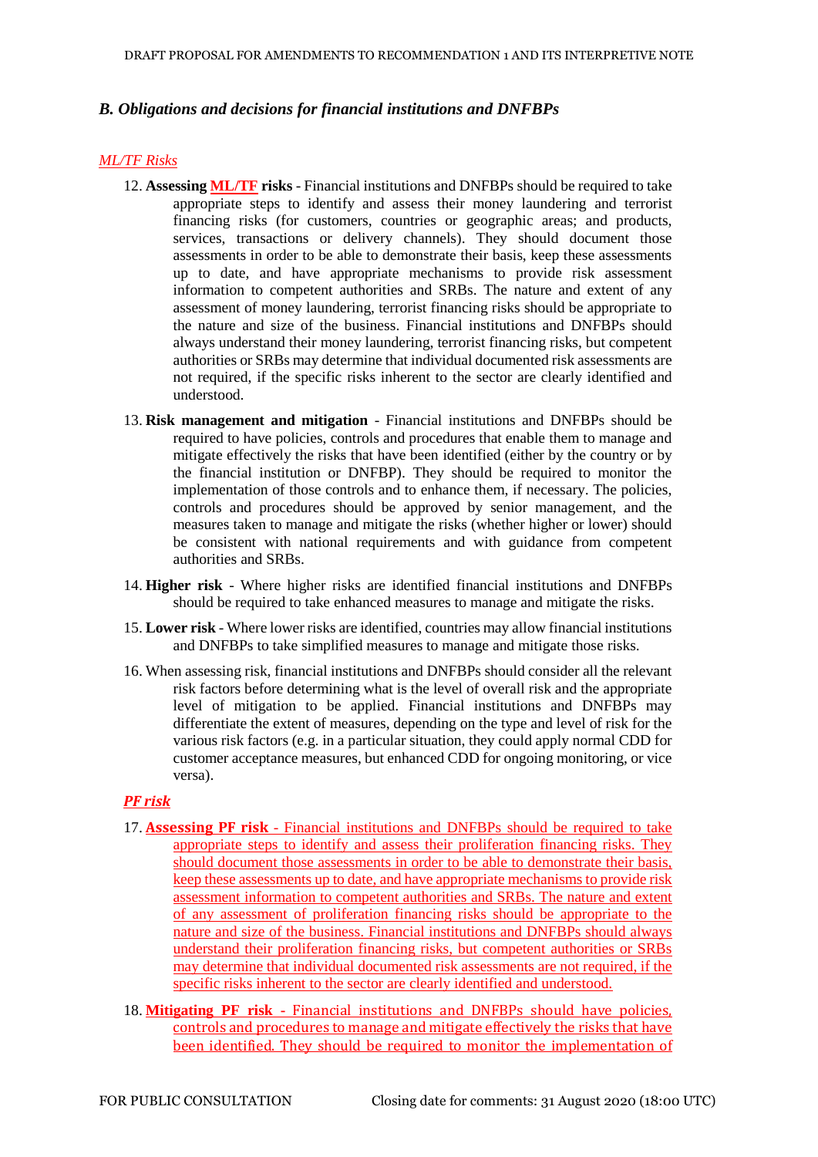# *B. Obligations and decisions for financial institutions and DNFBPs*

## *ML/TF Risks*

- 12. **Assessing ML/TF risks** Financial institutions and DNFBPs should be required to take appropriate steps to identify and assess their money laundering and terrorist financing risks (for customers, countries or geographic areas; and products, services, transactions or delivery channels). They should document those assessments in order to be able to demonstrate their basis, keep these assessments up to date, and have appropriate mechanisms to provide risk assessment information to competent authorities and SRBs. The nature and extent of any assessment of money laundering, terrorist financing risks should be appropriate to the nature and size of the business. Financial institutions and DNFBPs should always understand their money laundering, terrorist financing risks, but competent authorities or SRBs may determine that individual documented risk assessments are not required, if the specific risks inherent to the sector are clearly identified and understood.
- 13. **Risk management and mitigation**  Financial institutions and DNFBPs should be required to have policies, controls and procedures that enable them to manage and mitigate effectively the risks that have been identified (either by the country or by the financial institution or DNFBP). They should be required to monitor the implementation of those controls and to enhance them, if necessary. The policies, controls and procedures should be approved by senior management, and the measures taken to manage and mitigate the risks (whether higher or lower) should be consistent with national requirements and with guidance from competent authorities and SRBs.
- 14. **Higher risk**  Where higher risks are identified financial institutions and DNFBPs should be required to take enhanced measures to manage and mitigate the risks.
- 15. **Lower risk**  Where lower risks are identified, countries may allow financial institutions and DNFBPs to take simplified measures to manage and mitigate those risks.
- 16. When assessing risk, financial institutions and DNFBPs should consider all the relevant risk factors before determining what is the level of overall risk and the appropriate level of mitigation to be applied. Financial institutions and DNFBPs may differentiate the extent of measures, depending on the type and level of risk for the various risk factors (e.g. in a particular situation, they could apply normal CDD for customer acceptance measures, but enhanced CDD for ongoing monitoring, or vice versa).

### *PF risk*

- 17. **Assessing PF risk**  Financial institutions and DNFBPs should be required to take appropriate steps to identify and assess their proliferation financing risks. They should document those assessments in order to be able to demonstrate their basis, keep these assessments up to date, and have appropriate mechanisms to provide risk assessment information to competent authorities and SRBs. The nature and extent of any assessment of proliferation financing risks should be appropriate to the nature and size of the business. Financial institutions and DNFBPs should always understand their proliferation financing risks, but competent authorities or SRBs may determine that individual documented risk assessments are not required, if the specific risks inherent to the sector are clearly identified and understood.
- 18. **Mitigating PF risk -** Financial institutions and DNFBPs should have policies, controls and procedures to manage and mitigate effectively the risks that have been identified. They should be required to monitor the implementation of